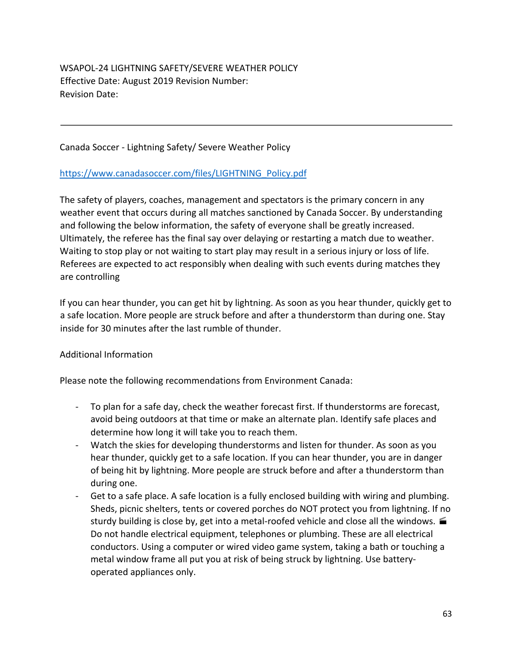WSAPOL-24 LIGHTNING SAFETY/SEVERE WEATHER POLICY Effective Date: August 2019 Revision Number: Revision Date:

Canada Soccer - Lightning Safety/ Severe Weather Policy

## https://www.canadasoccer.com/files/LIGHTNING\_Policy.pdf

The safety of players, coaches, management and spectators is the primary concern in any weather event that occurs during all matches sanctioned by Canada Soccer. By understanding and following the below information, the safety of everyone shall be greatly increased. Ultimately, the referee has the final say over delaying or restarting a match due to weather. Waiting to stop play or not waiting to start play may result in a serious injury or loss of life. Referees are expected to act responsibly when dealing with such events during matches they are controlling

If you can hear thunder, you can get hit by lightning. As soon as you hear thunder, quickly get to a safe location. More people are struck before and after a thunderstorm than during one. Stay inside for 30 minutes after the last rumble of thunder.

## Additional Information

Please note the following recommendations from Environment Canada:

- To plan for a safe day, check the weather forecast first. If thunderstorms are forecast, avoid being outdoors at that time or make an alternate plan. Identify safe places and determine how long it will take you to reach them.
- Watch the skies for developing thunderstorms and listen for thunder. As soon as you hear thunder, quickly get to a safe location. If you can hear thunder, you are in danger of being hit by lightning. More people are struck before and after a thunderstorm than during one.
- Get to a safe place. A safe location is a fully enclosed building with wiring and plumbing. Sheds, picnic shelters, tents or covered porches do NOT protect you from lightning. If no sturdy building is close by, get into a metal-roofed vehicle and close all the windows.  $\blacksquare$ Do not handle electrical equipment, telephones or plumbing. These are all electrical conductors. Using a computer or wired video game system, taking a bath or touching a metal window frame all put you at risk of being struck by lightning. Use batteryoperated appliances only.